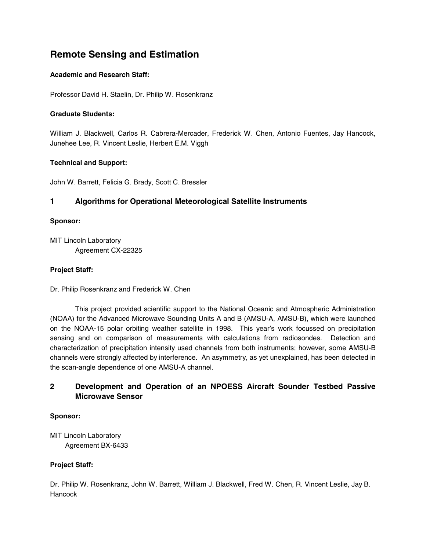# **Remote Sensing and Estimation**

# **Academic and Research Staff:**

Professor David H. Staelin, Dr. Philip W. Rosenkranz

## **Graduate Students:**

William J. Blackwell, Carlos R. Cabrera-Mercader, Frederick W. Chen, Antonio Fuentes, Jay Hancock, Junehee Lee, R. Vincent Leslie, Herbert E.M. Viggh

# **Technical and Support:**

John W. Barrett, Felicia G. Brady, Scott C. Bressler

# **1 Algorithms for Operational Meteorological Satellite Instruments**

## **Sponsor:**

MIT Lincoln Laboratory Agreement CX-22325

## **Project Staff:**

Dr. Philip Rosenkranz and Frederick W. Chen

This project provided scientific support to the National Oceanic and Atmospheric Administration (NOAA) for the Advanced Microwave Sounding Units A and B (AMSU-A, AMSU-B), which were launched on the NOAA-15 polar orbiting weather satellite in 1998. This year's work focussed on precipitation sensing and on comparison of measurements with calculations from radiosondes. Detection and characterization of precipitation intensity used channels from both instruments; however, some AMSU-B channels were strongly affected by interference. An asymmetry, as yet unexplained, has been detected in the scan-angle dependence of one AMSU-A channel.

# **2 Development and Operation of an NPOESS Aircraft Sounder Testbed Passive Microwave Sensor**

# **Sponsor:**

MIT Lincoln Laboratory Agreement BX-6433

# **Project Staff:**

Dr. Philip W. Rosenkranz, John W. Barrett, William J. Blackwell, Fred W. Chen, R. Vincent Leslie, Jay B. **Hancock**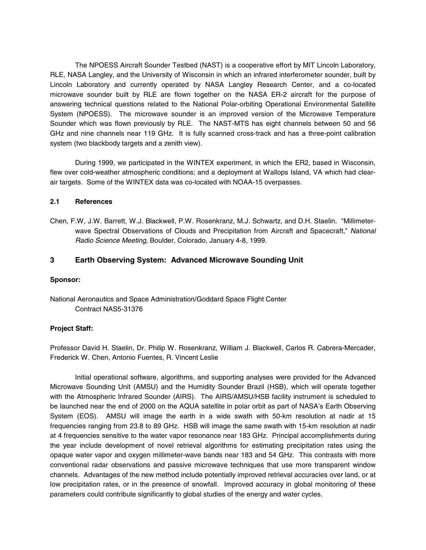The NPOESS Aircraft Sounder Testbed (NAST) is a cooperative effort by MIT Lincoln Laboratory, RLE, NASA Langley, and the University of Wisconsin in which an infrared interferometer sounder, built by Lincoln Laboratory and currently operated by NASA Langley Research Center, and a co-located microwave sounder built by RLE are flown together on the NASA ER-2 aircraft for the purpose of answering technical questions related to the National Polar-orbiting Operational Environmental Satellite System (NPOESS). The microwave sounder is an improved version of the Microwave Temperature Sounder which was flown previously by RLE. The NAST-MTS has eight channels between 50 and 56 GHz and nine channels near 119 GHz. It is fully scanned cross-track and has a three-point calibration system (two blackbody targets and a zenith view).

During 1999, we participated in the WINTEX experiment, in which the ER2, based in Wisconsin, flew over cold-weather atmospheric conditions; and a deployment at Wallops Island, VA which had clearair targets. Some of the WINTEX data was co-located with NOAA-15 overpasses.

## **2.1 References**

Chen, F.W, J.W. Barrett, W.J. Blackwell, P.W. Rosenkranz, M.J. Schwartz, and D.H. Staelin. "Millimeterwave Spectral Observations of Clouds and Precipitation from Aircraft and Spacecraft," *National Radio Science Meeting*, Boulder, Colorado, January 4-8, 1999.

# **3 Earth Observing System: Advanced Microwave Sounding Unit**

#### **Sponsor:**

National Aeronautics and Space Administration/Goddard Space Flight Center Contract NAS5-31376

# **Project Staff:**

Professor David H. Staelin, Dr. Philip W. Rosenkranz, William J. Blackwell, Carlos R. Cabrera-Mercader, Frederick W. Chen, Antonio Fuentes, R. Vincent Leslie

Initial operational software, algorithms, and supporting analyses were provided for the Advanced Microwave Sounding Unit (AMSU) and the Humidity Sounder Brazil (HSB), which will operate together with the Atmospheric Infrared Sounder (AIRS). The AIRS/AMSU/HSB facility instrument is scheduled to be launched near the end of 2000 on the AQUA satellite in polar orbit as part of NASA's Earth Observing System (EOS). AMSU will image the earth in a wide swath with 50-km resolution at nadir at 15 frequencies ranging from 23.8 to 89 GHz. HSB will image the same swath with 15-km resolution at nadir at 4 frequencies sensitive to the water vapor resonance near 183 GHz. Principal accomplishments during the year include development of novel retrieval algorithms for estimating precipitation rates using the opaque water vapor and oxygen millimeter-wave bands near 183 and 54 GHz. This contrasts with more conventional radar observations and passive microwave techniques that use more transparent window channels. Advantages of the new method include potentially improved retrieval accuracies over land, or at low precipitation rates, or in the presence of snowfall. Improved accuracy in global monitoring of these parameters could contribute significantly to global studies of the energy and water cycles.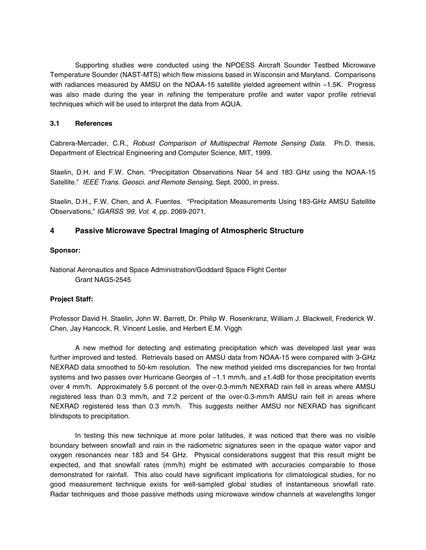Supporting studies were conducted using the NPOESS Aircraft Sounder Testbed Microwave Temperature Sounder (NAST-MTS) which flew missions based in Wisconsin and Maryland. Comparisons with radiances measured by AMSU on the NOAA-15 satellite yielded agreement within ~1.5K. Progress was also made during the year in refining the temperature profile and water vapor profile retrieval techniques which will be used to interpret the data from AQUA.

## **3.1 References**

Cabrera-Mercader, C.R., *Robust Comparison of Multispectral Remote Sensing Data.* Ph.D. thesis, Department of Electrical Engineering and Computer Science, MIT, 1999.

Staelin, D.H. and F.W. Chen. "Precipitation Observations Near 54 and 183 GHz using the NOAA-15 Satellite." *IEEE Trans. Geosci. and Remote Sensing,* Sept. 2000, in press.

Staelin, D.H., F.W. Chen, and A. Fuentes. "Precipitation Measurements Using 183-GHz AMSU Satellite Observations," *IGARSS '99, Vol. 4,* pp. 2069-2071.

# **4 Passive Microwave Spectral Imaging of Atmospheric Structure**

## **Sponsor:**

National Aeronautics and Space Administration/Goddard Space Flight Center Grant NAG5-2545

# **Project Staff:**

Professor David H. Staelin, John W. Barrett, Dr. Philip W. Rosenkranz, William J. Blackwell, Frederick W. Chen, Jay Hancock, R. Vincent Leslie, and Herbert E.M. Viggh

A new method for detecting and estimating precipitation which was developed last year was further improved and tested. Retrievals based on AMSU data from NOAA-15 were compared with 3-GHz NEXRAD data smoothed to 50-km resolution. The new method yielded rms discrepancies for two frontal systems and two passes over Hurricane Georges of ~1.1 mm/h, and ±1.4dB for those precipitation events over 4 mm/h. Approximately 5.6 percent of the over-0.3-mm/h NEXRAD rain fell in areas where AMSU registered less than 0.3 mm/h, and 7.2 percent of the over-0.3-mm/h AMSU rain fell in areas where NEXRAD registered less than 0.3 mm/h. This suggests neither AMSU nor NEXRAD has significant blindspots to precipitation.

In testing this new technique at more polar latitudes, it was noticed that there was no visible boundary between snowfall and rain in the radiometric signatures seen in the opaque water vapor and oxygen resonances near 183 and 54 GHz. Physical considerations suggest that this result might be expected, and that snowfall rates (mm/h) might be estimated with accuracies comparable to those demonstrated for rainfall. This also could have significant implications for climatological studies, for no good measurement technique exists for well-sampled global studies of instantaneous snowfall rate. Radar techniques and those passive methods using microwave window channels at wavelengths longer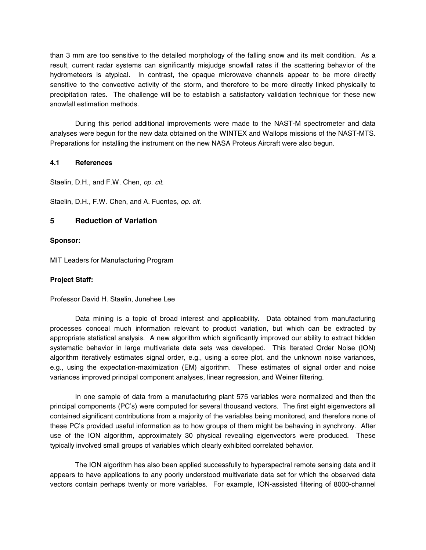than 3 mm are too sensitive to the detailed morphology of the falling snow and its melt condition. As a result, current radar systems can significantly misjudge snowfall rates if the scattering behavior of the hydrometeors is atypical. In contrast, the opaque microwave channels appear to be more directly sensitive to the convective activity of the storm, and therefore to be more directly linked physically to precipitation rates. The challenge will be to establish a satisfactory validation technique for these new snowfall estimation methods.

During this period additional improvements were made to the NAST-M spectrometer and data analyses were begun for the new data obtained on the WINTEX and Wallops missions of the NAST-MTS. Preparations for installing the instrument on the new NASA Proteus Aircraft were also begun.

## **4.1 References**

Staelin, D.H., and F.W. Chen, *op. cit.*

Staelin, D.H., F.W. Chen, and A. Fuentes, *op. cit.*

# **5 Reduction of Variation**

#### **Sponsor:**

MIT Leaders for Manufacturing Program

#### **Project Staff:**

Professor David H. Staelin, Junehee Lee

Data mining is a topic of broad interest and applicability. Data obtained from manufacturing processes conceal much information relevant to product variation, but which can be extracted by appropriate statistical analysis. A new algorithm which significantly improved our ability to extract hidden systematic behavior in large multivariate data sets was developed. This Iterated Order Noise (ION) algorithm iteratively estimates signal order, e.g., using a scree plot, and the unknown noise variances, e.g., using the expectation-maximization (EM) algorithm. These estimates of signal order and noise variances improved principal component analyses, linear regression, and Weiner filtering.

In one sample of data from a manufacturing plant 575 variables were normalized and then the principal components (PC's) were computed for several thousand vectors. The first eight eigenvectors all contained significant contributions from a majority of the variables being monitored, and therefore none of these PC's provided useful information as to how groups of them might be behaving in synchrony. After use of the ION algorithm, approximately 30 physical revealing eigenvectors were produced. These typically involved small groups of variables which clearly exhibited correlated behavior.

The ION algorithm has also been applied successfully to hyperspectral remote sensing data and it appears to have applications to any poorly understood multivariate data set for which the observed data vectors contain perhaps twenty or more variables. For example, ION-assisted filtering of 8000-channel